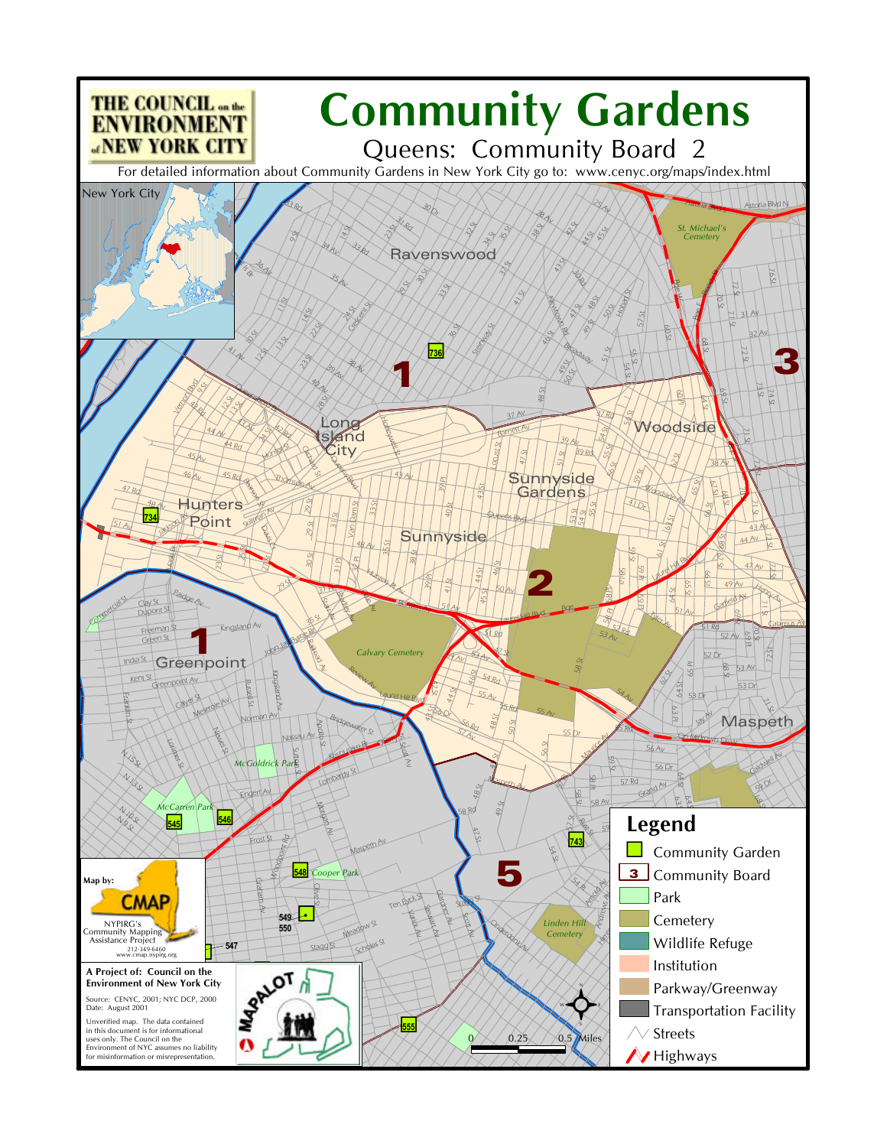